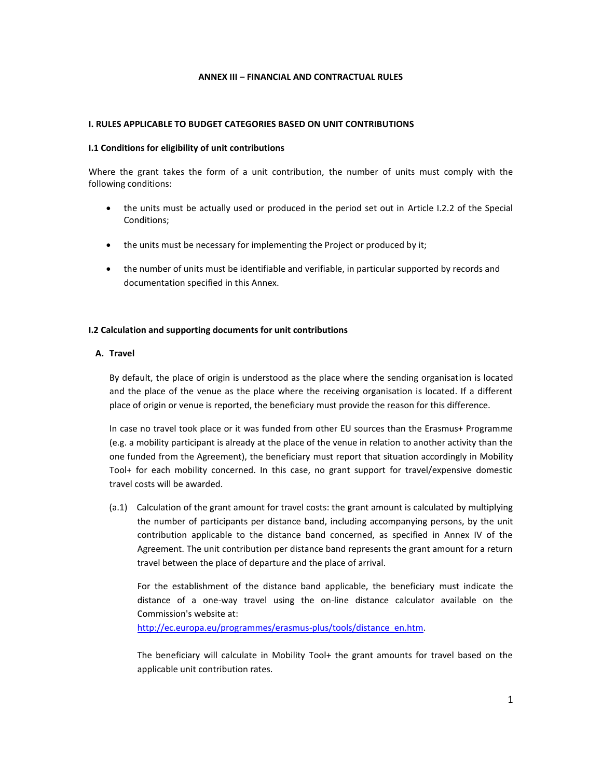### **ANNEX III – FINANCIAL AND CONTRACTUAL RULES**

### **I. RULES APPLICABLE TO BUDGET CATEGORIES BASED ON UNIT CONTRIBUTIONS**

#### **I.1 Conditions for eligibility of unit contributions**

Where the grant takes the form of a unit contribution, the number of units must comply with the following conditions:

- the units must be actually used or produced in the period set out in Article I.2.2 of the Special Conditions;
- the units must be necessary for implementing the Project or produced by it;
- the number of units must be identifiable and verifiable, in particular supported by records and documentation specified in this Annex.

## **I.2 Calculation and supporting documents for unit contributions**

#### **A. Travel**

By default, the place of origin is understood as the place where the sending organisation is located and the place of the venue as the place where the receiving organisation is located. If a different place of origin or venue is reported, the beneficiary must provide the reason for this difference.

In case no travel took place or it was funded from other EU sources than the Erasmus+ Programme (e.g. a mobility participant is already at the place of the venue in relation to another activity than the one funded from the Agreement), the beneficiary must report that situation accordingly in Mobility Tool+ for each mobility concerned. In this case, no grant support for travel/expensive domestic travel costs will be awarded.

(a.1) Calculation of the grant amount for travel costs: the grant amount is calculated by multiplying the number of participants per distance band, including accompanying persons, by the unit contribution applicable to the distance band concerned, as specified in Annex IV of the Agreement. The unit contribution per distance band represents the grant amount for a return travel between the place of departure and the place of arrival.

For the establishment of the distance band applicable, the beneficiary must indicate the distance of a one-way travel using the on-line distance calculator available on the Commission's website at:

[http://ec.europa.eu/programmes/erasmus-plus/tools/distance\\_en.htm.](http://ec.europa.eu/programmes/erasmus-plus/tools/distance_en.htm)

The beneficiary will calculate in Mobility Tool+ the grant amounts for travel based on the applicable unit contribution rates.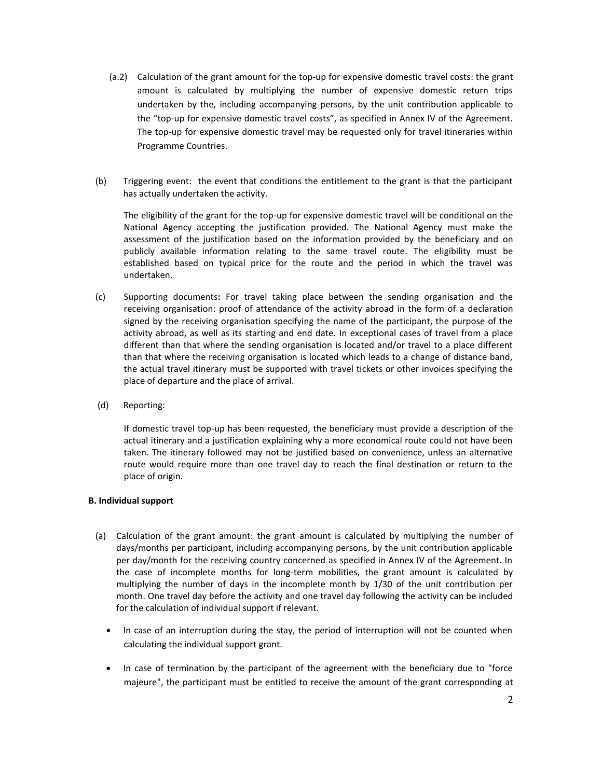- (a.2) Calculation of the grant amount for the top-up for expensive domestic travel costs: the grant amount is calculated by multiplying the number of expensive domestic return trips undertaken by the, including accompanying persons, by the unit contribution applicable to the "top-up for expensive domestic travel costs", as specified in Annex IV of the Agreement. The top-up for expensive domestic travel may be requested only for travel itineraries within Programme Countries.
- (b) Triggering event: the event that conditions the entitlement to the grant is that the participant has actually undertaken the activity.

The eligibility of the grant for the top-up for expensive domestic travel will be conditional on the National Agency accepting the justification provided. The National Agency must make the assessment of the justification based on the information provided by the beneficiary and on publicly available information relating to the same travel route. The eligibility must be established based on typical price for the route and the period in which the travel was undertaken.

- (c) Supporting documents**:** For travel taking place between the sending organisation and the receiving organisation: proof of attendance of the activity abroad in the form of a declaration signed by the receiving organisation specifying the name of the participant, the purpose of the activity abroad, as well as its starting and end date. In exceptional cases of travel from a place different than that where the sending organisation is located and/or travel to a place different than that where the receiving organisation is located which leads to a change of distance band, the actual travel itinerary must be supported with travel tickets or other invoices specifying the place of departure and the place of arrival.
- (d) Reporting:

If domestic travel top-up has been requested, the beneficiary must provide a description of the actual itinerary and a justification explaining why a more economical route could not have been taken. The itinerary followed may not be justified based on convenience, unless an alternative route would require more than one travel day to reach the final destination or return to the place of origin.

#### **B. Individual support**

- (a) Calculation of the grant amount: the grant amount is calculated by multiplying the number of days/months per participant, including accompanying persons, by the unit contribution applicable per day/month for the receiving country concerned as specified in Annex IV of the Agreement. In the case of incomplete months for long-term mobilities, the grant amount is calculated by multiplying the number of days in the incomplete month by 1/30 of the unit contribution per month. One travel day before the activity and one travel day following the activity can be included for the calculation of individual support if relevant.
	- In case of an interruption during the stay, the period of interruption will not be counted when calculating the individual support grant.
	- In case of termination by the participant of the agreement with the beneficiary due to "force" majeure", the participant must be entitled to receive the amount of the grant corresponding at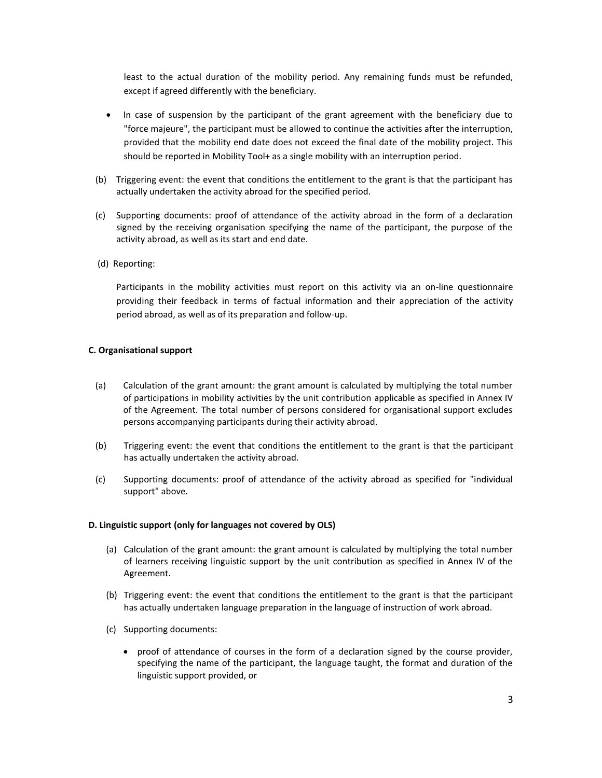least to the actual duration of the mobility period. Any remaining funds must be refunded, except if agreed differently with the beneficiary.

- In case of suspension by the participant of the grant agreement with the beneficiary due to "force majeure", the participant must be allowed to continue the activities after the interruption, provided that the mobility end date does not exceed the final date of the mobility project. This should be reported in Mobility Tool+ as a single mobility with an interruption period.
- (b) Triggering event: the event that conditions the entitlement to the grant is that the participant has actually undertaken the activity abroad for the specified period.
- (c) Supporting documents: proof of attendance of the activity abroad in the form of a declaration signed by the receiving organisation specifying the name of the participant, the purpose of the activity abroad, as well as its start and end date.
- (d) Reporting:

Participants in the mobility activities must report on this activity via an on-line questionnaire providing their feedback in terms of factual information and their appreciation of the activity period abroad, as well as of its preparation and follow-up.

#### **C. Organisational support**

- (a) Calculation of the grant amount: the grant amount is calculated by multiplying the total number of participations in mobility activities by the unit contribution applicable as specified in Annex IV of the Agreement. The total number of persons considered for organisational support excludes persons accompanying participants during their activity abroad.
- (b) Triggering event: the event that conditions the entitlement to the grant is that the participant has actually undertaken the activity abroad.
- (c) Supporting documents: proof of attendance of the activity abroad as specified for "individual support" above.

#### **D. Linguistic support (only for languages not covered by OLS)**

- (a) Calculation of the grant amount: the grant amount is calculated by multiplying the total number of learners receiving linguistic support by the unit contribution as specified in Annex IV of the Agreement.
- (b) Triggering event: the event that conditions the entitlement to the grant is that the participant has actually undertaken language preparation in the language of instruction of work abroad.
- (c) Supporting documents:
	- proof of attendance of courses in the form of a declaration signed by the course provider, specifying the name of the participant, the language taught, the format and duration of the linguistic support provided, or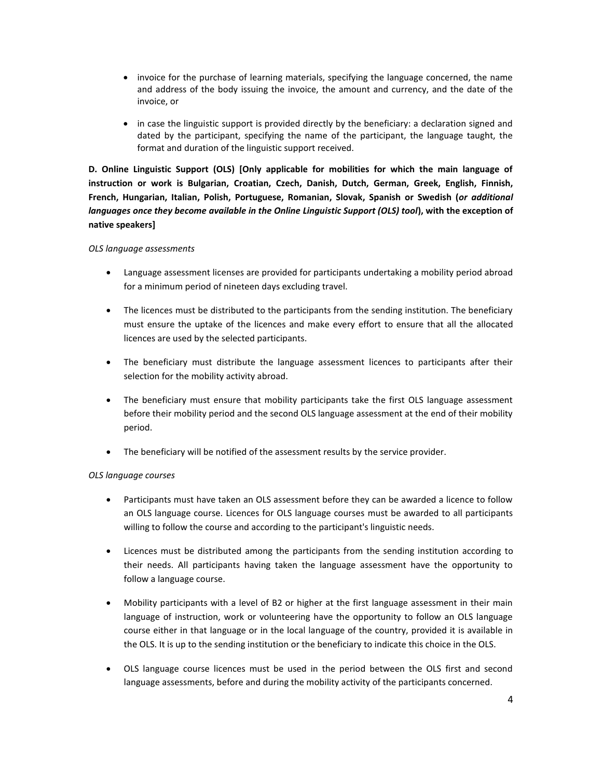- invoice for the purchase of learning materials, specifying the language concerned, the name and address of the body issuing the invoice, the amount and currency, and the date of the invoice, or
- in case the linguistic support is provided directly by the beneficiary: a declaration signed and dated by the participant, specifying the name of the participant, the language taught, the format and duration of the linguistic support received.

**D. Online Linguistic Support (OLS) [Only applicable for mobilities for which the main language of instruction or work is Bulgarian, Croatian, Czech, Danish, Dutch, German, Greek, English, Finnish, French, Hungarian, Italian, Polish, Portuguese, Romanian, Slovak, Spanish or Swedish (***or additional languages once they become available in the Online Linguistic Support (OLS) tool***), with the exception of native speakers]**

# *OLS language assessments*

- Language assessment licenses are provided for participants undertaking a mobility period abroad for a minimum period of nineteen days excluding travel.
- The licences must be distributed to the participants from the sending institution. The beneficiary must ensure the uptake of the licences and make every effort to ensure that all the allocated licences are used by the selected participants.
- The beneficiary must distribute the language assessment licences to participants after their selection for the mobility activity abroad.
- The beneficiary must ensure that mobility participants take the first OLS language assessment before their mobility period and the second OLS language assessment at the end of their mobility period.
- The beneficiary will be notified of the assessment results by the service provider.

# *OLS language courses*

- Participants must have taken an OLS assessment before they can be awarded a licence to follow an OLS language course. Licences for OLS language courses must be awarded to all participants willing to follow the course and according to the participant's linguistic needs.
- Licences must be distributed among the participants from the sending institution according to their needs. All participants having taken the language assessment have the opportunity to follow a language course.
- Mobility participants with a level of B2 or higher at the first language assessment in their main language of instruction, work or volunteering have the opportunity to follow an OLS language course either in that language or in the local language of the country, provided it is available in the OLS. It is up to the sending institution or the beneficiary to indicate this choice in the OLS.
- OLS language course licences must be used in the period between the OLS first and second language assessments, before and during the mobility activity of the participants concerned.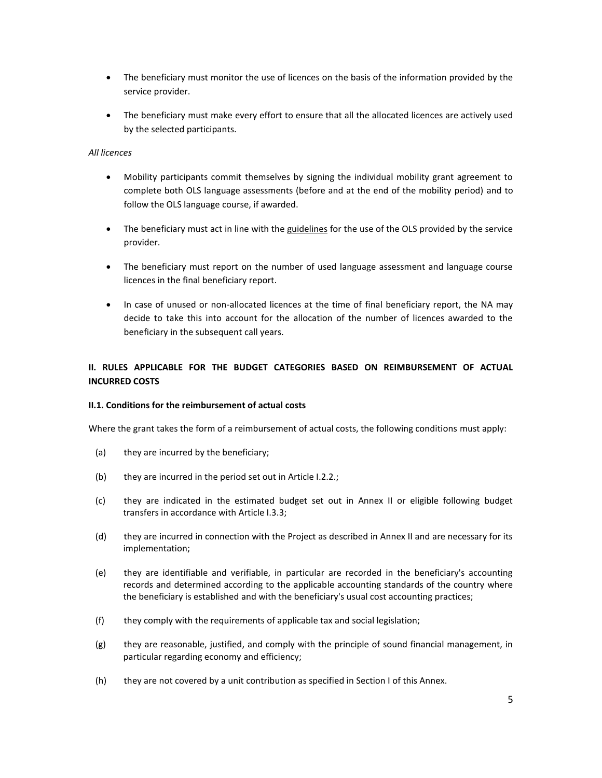- The beneficiary must monitor the use of licences on the basis of the information provided by the service provider.
- The beneficiary must make every effort to ensure that all the allocated licences are actively used by the selected participants.

## *All licences*

- Mobility participants commit themselves by signing the individual mobility grant agreement to complete both OLS language assessments (before and at the end of the mobility period) and to follow the OLS language course, if awarded.
- The beneficiary must act in line with the guidelines for the use of the OLS provided by the service provider.
- The beneficiary must report on the number of used language assessment and language course licences in the final beneficiary report.
- In case of unused or non-allocated licences at the time of final beneficiary report, the NA may decide to take this into account for the allocation of the number of licences awarded to the beneficiary in the subsequent call years.

# **II. RULES APPLICABLE FOR THE BUDGET CATEGORIES BASED ON REIMBURSEMENT OF ACTUAL INCURRED COSTS**

## **II.1. Conditions for the reimbursement of actual costs**

Where the grant takes the form of a reimbursement of actual costs, the following conditions must apply:

- (a) they are incurred by the beneficiary;
- (b) they are incurred in the period set out in Article I.2.2.;
- (c) they are indicated in the estimated budget set out in Annex II or eligible following budget transfers in accordance with Article I.3.3;
- (d) they are incurred in connection with the Project as described in Annex II and are necessary for its implementation;
- (e) they are identifiable and verifiable, in particular are recorded in the beneficiary's accounting records and determined according to the applicable accounting standards of the country where the beneficiary is established and with the beneficiary's usual cost accounting practices;
- (f) they comply with the requirements of applicable tax and social legislation;
- (g) they are reasonable, justified, and comply with the principle of sound financial management, in particular regarding economy and efficiency;
- (h) they are not covered by a unit contribution as specified in Section I of this Annex.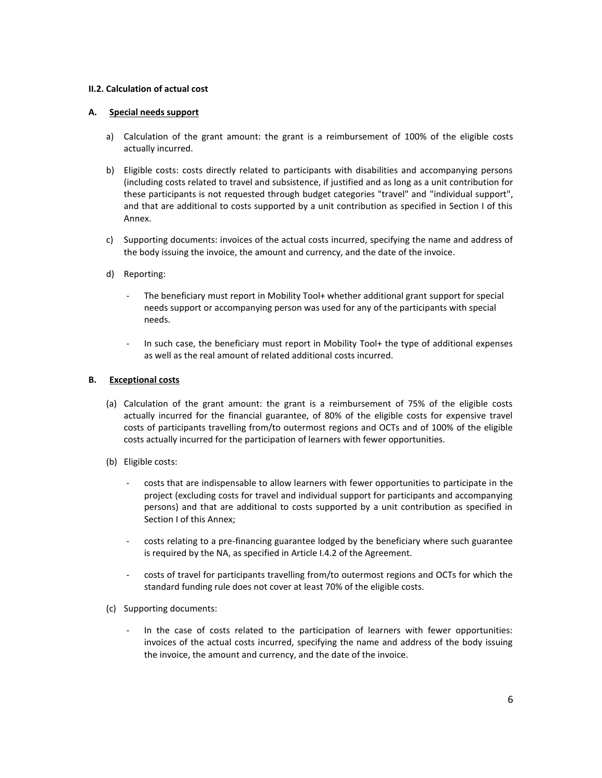## **II.2. Calculation of actual cost**

## **A. Special needs support**

- a) Calculation of the grant amount: the grant is a reimbursement of 100% of the eligible costs actually incurred.
- b) Eligible costs: costs directly related to participants with disabilities and accompanying persons (including costs related to travel and subsistence, if justified and as long as a unit contribution for these participants is not requested through budget categories "travel" and "individual support", and that are additional to costs supported by a unit contribution as specified in Section I of this Annex.
- c) Supporting documents: invoices of the actual costs incurred, specifying the name and address of the body issuing the invoice, the amount and currency, and the date of the invoice.
- d) Reporting:
	- The beneficiary must report in Mobility Tool+ whether additional grant support for special needs support or accompanying person was used for any of the participants with special needs.
	- In such case, the beneficiary must report in Mobility Tool+ the type of additional expenses as well as the real amount of related additional costs incurred.

## **B. Exceptional costs**

- (a) Calculation of the grant amount: the grant is a reimbursement of 75% of the eligible costs actually incurred for the financial guarantee, of 80% of the eligible costs for expensive travel costs of participants travelling from/to outermost regions and OCTs and of 100% of the eligible costs actually incurred for the participation of learners with fewer opportunities.
- (b) Eligible costs:
	- costs that are indispensable to allow learners with fewer opportunities to participate in the project (excluding costs for travel and individual support for participants and accompanying persons) and that are additional to costs supported by a unit contribution as specified in Section I of this Annex;
	- costs relating to a pre-financing guarantee lodged by the beneficiary where such guarantee is required by the NA, as specified in Article I.4.2 of the Agreement.
	- costs of travel for participants travelling from/to outermost regions and OCTs for which the standard funding rule does not cover at least 70% of the eligible costs.
- (c) Supporting documents:
	- In the case of costs related to the participation of learners with fewer opportunities: invoices of the actual costs incurred, specifying the name and address of the body issuing the invoice, the amount and currency, and the date of the invoice.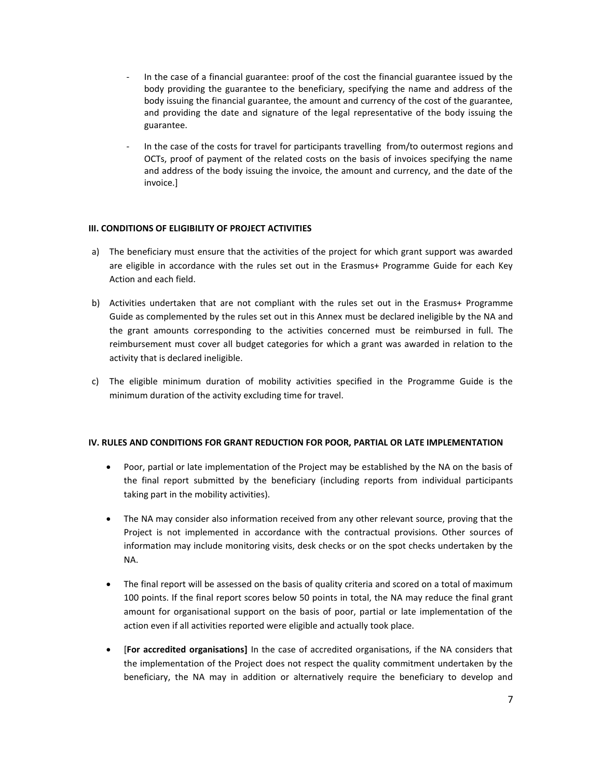- In the case of a financial guarantee: proof of the cost the financial guarantee issued by the body providing the guarantee to the beneficiary, specifying the name and address of the body issuing the financial guarantee, the amount and currency of the cost of the guarantee, and providing the date and signature of the legal representative of the body issuing the guarantee.
- In the case of the costs for travel for participants travelling from/to outermost regions and OCTs, proof of payment of the related costs on the basis of invoices specifying the name and address of the body issuing the invoice, the amount and currency, and the date of the invoice.]

## **III. CONDITIONS OF ELIGIBILITY OF PROJECT ACTIVITIES**

- a) The beneficiary must ensure that the activities of the project for which grant support was awarded are eligible in accordance with the rules set out in the Erasmus+ Programme Guide for each Key Action and each field.
- b) Activities undertaken that are not compliant with the rules set out in the Erasmus+ Programme Guide as complemented by the rules set out in this Annex must be declared ineligible by the NA and the grant amounts corresponding to the activities concerned must be reimbursed in full. The reimbursement must cover all budget categories for which a grant was awarded in relation to the activity that is declared ineligible.
- c) The eligible minimum duration of mobility activities specified in the Programme Guide is the minimum duration of the activity excluding time for travel.

#### **IV. RULES AND CONDITIONS FOR GRANT REDUCTION FOR POOR, PARTIAL OR LATE IMPLEMENTATION**

- Poor, partial or late implementation of the Project may be established by the NA on the basis of the final report submitted by the beneficiary (including reports from individual participants taking part in the mobility activities).
- The NA may consider also information received from any other relevant source, proving that the Project is not implemented in accordance with the contractual provisions. Other sources of information may include monitoring visits, desk checks or on the spot checks undertaken by the NA.
- The final report will be assessed on the basis of quality criteria and scored on a total of maximum 100 points. If the final report scores below 50 points in total, the NA may reduce the final grant amount for organisational support on the basis of poor, partial or late implementation of the action even if all activities reported were eligible and actually took place.
- [**For accredited organisations]** In the case of accredited organisations, if the NA considers that the implementation of the Project does not respect the quality commitment undertaken by the beneficiary, the NA may in addition or alternatively require the beneficiary to develop and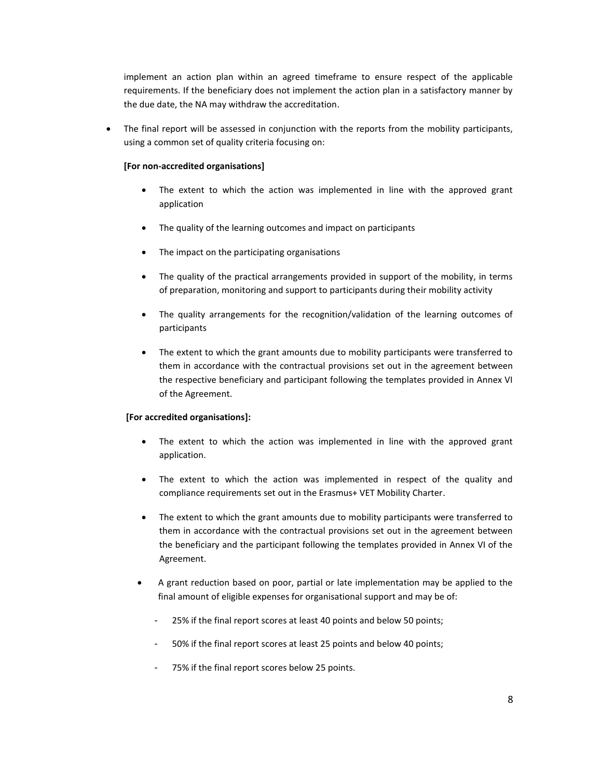implement an action plan within an agreed timeframe to ensure respect of the applicable requirements. If the beneficiary does not implement the action plan in a satisfactory manner by the due date, the NA may withdraw the accreditation.

 The final report will be assessed in conjunction with the reports from the mobility participants, using a common set of quality criteria focusing on:

## **[For non-accredited organisations]**

- The extent to which the action was implemented in line with the approved grant application
- The quality of the learning outcomes and impact on participants
- The impact on the participating organisations
- The quality of the practical arrangements provided in support of the mobility, in terms of preparation, monitoring and support to participants during their mobility activity
- The quality arrangements for the recognition/validation of the learning outcomes of participants
- The extent to which the grant amounts due to mobility participants were transferred to them in accordance with the contractual provisions set out in the agreement between the respective beneficiary and participant following the templates provided in Annex VI of the Agreement.

#### **[For accredited organisations]:**

- The extent to which the action was implemented in line with the approved grant application.
- The extent to which the action was implemented in respect of the quality and compliance requirements set out in the Erasmus+ VET Mobility Charter.
- The extent to which the grant amounts due to mobility participants were transferred to them in accordance with the contractual provisions set out in the agreement between the beneficiary and the participant following the templates provided in Annex VI of the Agreement.
- A grant reduction based on poor, partial or late implementation may be applied to the final amount of eligible expenses for organisational support and may be of:
	- 25% if the final report scores at least 40 points and below 50 points;
	- 50% if the final report scores at least 25 points and below 40 points;
	- 75% if the final report scores below 25 points.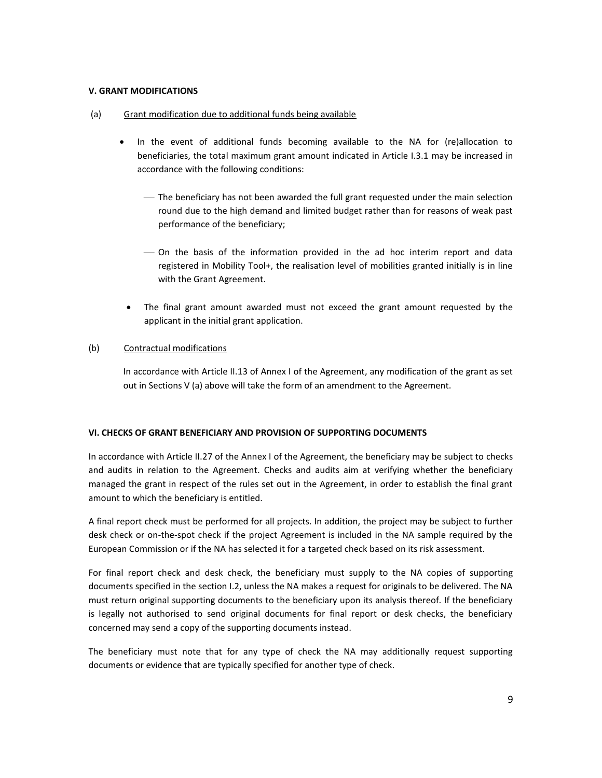## **V. GRANT MODIFICATIONS**

### (a) Grant modification due to additional funds being available

- In the event of additional funds becoming available to the NA for (re)allocation to beneficiaries, the total maximum grant amount indicated in Article I.3.1 may be increased in accordance with the following conditions:
	- The beneficiary has not been awarded the full grant requested under the main selection round due to the high demand and limited budget rather than for reasons of weak past performance of the beneficiary;
	- On the basis of the information provided in the ad hoc interim report and data registered in Mobility Tool+, the realisation level of mobilities granted initially is in line with the Grant Agreement.
	- The final grant amount awarded must not exceed the grant amount requested by the applicant in the initial grant application.

## (b) Contractual modifications

In accordance with Article II.13 of Annex I of the Agreement, any modification of the grant as set out in Sections V (a) above will take the form of an amendment to the Agreement.

# **VI. CHECKS OF GRANT BENEFICIARY AND PROVISION OF SUPPORTING DOCUMENTS**

In accordance with Article II.27 of the Annex I of the Agreement, the beneficiary may be subject to checks and audits in relation to the Agreement. Checks and audits aim at verifying whether the beneficiary managed the grant in respect of the rules set out in the Agreement, in order to establish the final grant amount to which the beneficiary is entitled.

A final report check must be performed for all projects. In addition, the project may be subject to further desk check or on-the-spot check if the project Agreement is included in the NA sample required by the European Commission or if the NA has selected it for a targeted check based on its risk assessment.

For final report check and desk check, the beneficiary must supply to the NA copies of supporting documents specified in the section I.2, unless the NA makes a request for originals to be delivered. The NA must return original supporting documents to the beneficiary upon its analysis thereof. If the beneficiary is legally not authorised to send original documents for final report or desk checks, the beneficiary concerned may send a copy of the supporting documents instead.

The beneficiary must note that for any type of check the NA may additionally request supporting documents or evidence that are typically specified for another type of check.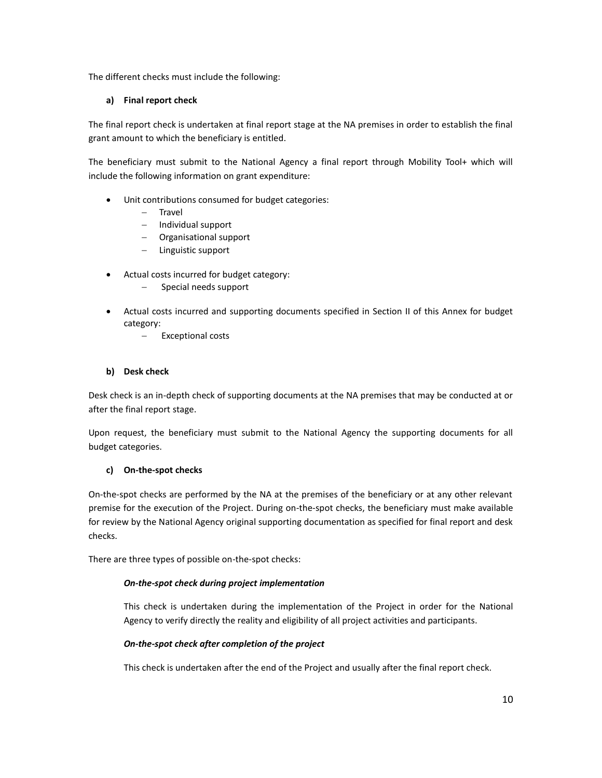The different checks must include the following:

# **a) Final report check**

The final report check is undertaken at final report stage at the NA premises in order to establish the final grant amount to which the beneficiary is entitled.

The beneficiary must submit to the National Agency a final report through Mobility Tool+ which will include the following information on grant expenditure:

- Unit contributions consumed for budget categories:
	- $-$  Travel
	- $-$  Individual support
	- Organisational support
	- Linguistic support
- Actual costs incurred for budget category:
	- Special needs support
- Actual costs incurred and supporting documents specified in Section II of this Annex for budget category:
	- Exceptional costs

# **b) Desk check**

Desk check is an in-depth check of supporting documents at the NA premises that may be conducted at or after the final report stage.

Upon request, the beneficiary must submit to the National Agency the supporting documents for all budget categories.

# **c) On-the-spot checks**

On-the-spot checks are performed by the NA at the premises of the beneficiary or at any other relevant premise for the execution of the Project. During on-the-spot checks, the beneficiary must make available for review by the National Agency original supporting documentation as specified for final report and desk checks.

There are three types of possible on-the-spot checks:

# *On-the-spot check during project implementation*

This check is undertaken during the implementation of the Project in order for the National Agency to verify directly the reality and eligibility of all project activities and participants.

# *On-the-spot check after completion of the project*

This check is undertaken after the end of the Project and usually after the final report check.